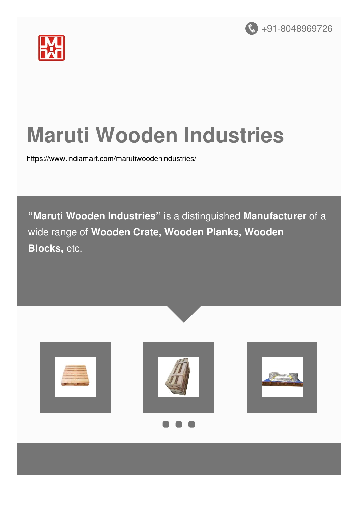



# **Maruti Wooden Industries**

<https://www.indiamart.com/marutiwoodenindustries/>

**"Maruti Wooden Industries"** is a distinguished **Manufacturer** of a wide range of **Wooden Crate, Wooden Planks, Wooden Blocks,** etc.

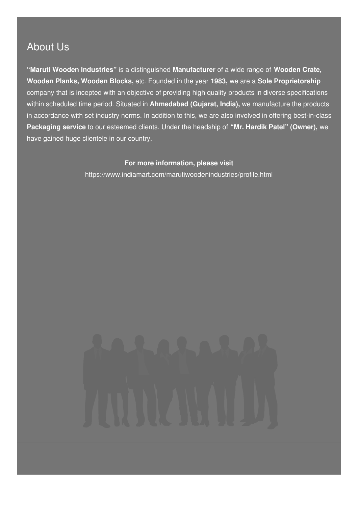### About Us

**"Maruti Wooden Industries"** is a distinguished **Manufacturer** of a wide range of **Wooden Crate, Wooden Planks, Wooden Blocks,** etc. Founded in the year **1983,** we are a **Sole Proprietorship** company that is incepted with an objective of providing high quality products in diverse specifications within scheduled time period. Situated in **Ahmedabad (Gujarat, India),** we manufacture the products in accordance with set industry norms. In addition to this, we are also involved in offering best-in-class **Packaging service** to our esteemed clients. Under the headship of **"Mr. Hardik Patel" (Owner),** we have gained huge clientele in our country.

#### **For more information, please visit**

<https://www.indiamart.com/marutiwoodenindustries/profile.html>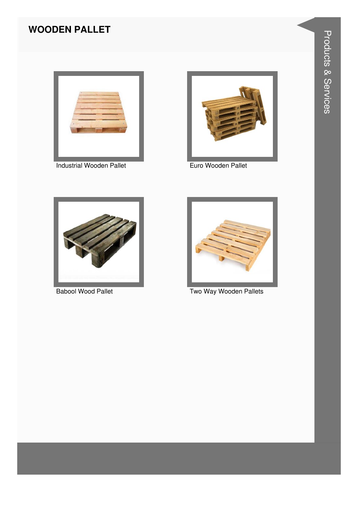#### **WOODEN PALLET**



Industrial Wooden Pallet



Euro Wooden Pallet



**Babool Wood Pallet** 



Two Way Wooden Pallets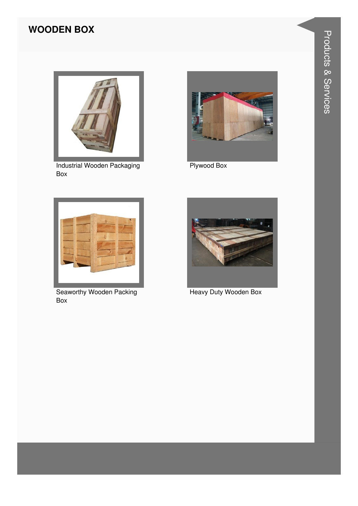#### **WOODEN BOX**



**Industrial Wooden Packaging** Box



Plywood Box



**Seaworthy Wooden Packing** Box



Heavy Duty Wooden Box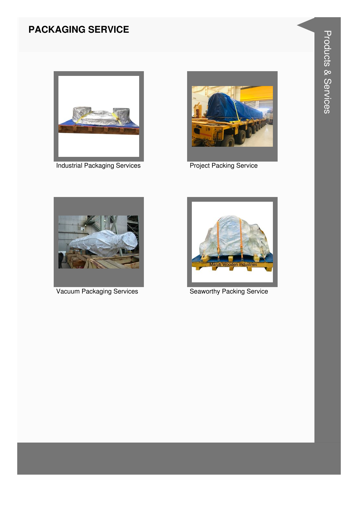#### **PACKAGING SERVICE**



**Industrial Packaging Services** 



**Project Packing Service** 



**Vacuum Packaging Services** 



**Seaworthy Packing Service**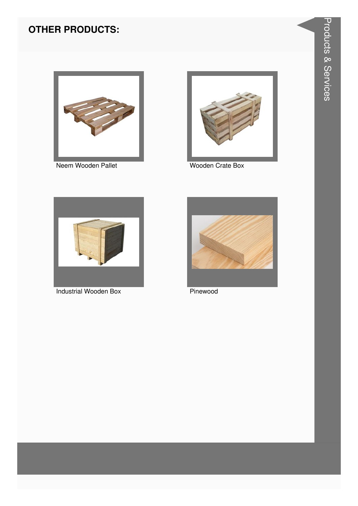#### **OTHER PRODUCTS:**



Neem Wooden Pallet



Wooden Crate Box



**Industrial Wooden Box** 



Pinewood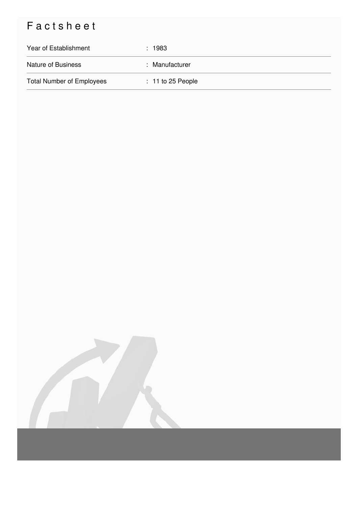## Factsheet

| Year of Establishment            | : 1983              |
|----------------------------------|---------------------|
| <b>Nature of Business</b>        | : Manufacturer      |
| <b>Total Number of Employees</b> | $: 11$ to 25 People |